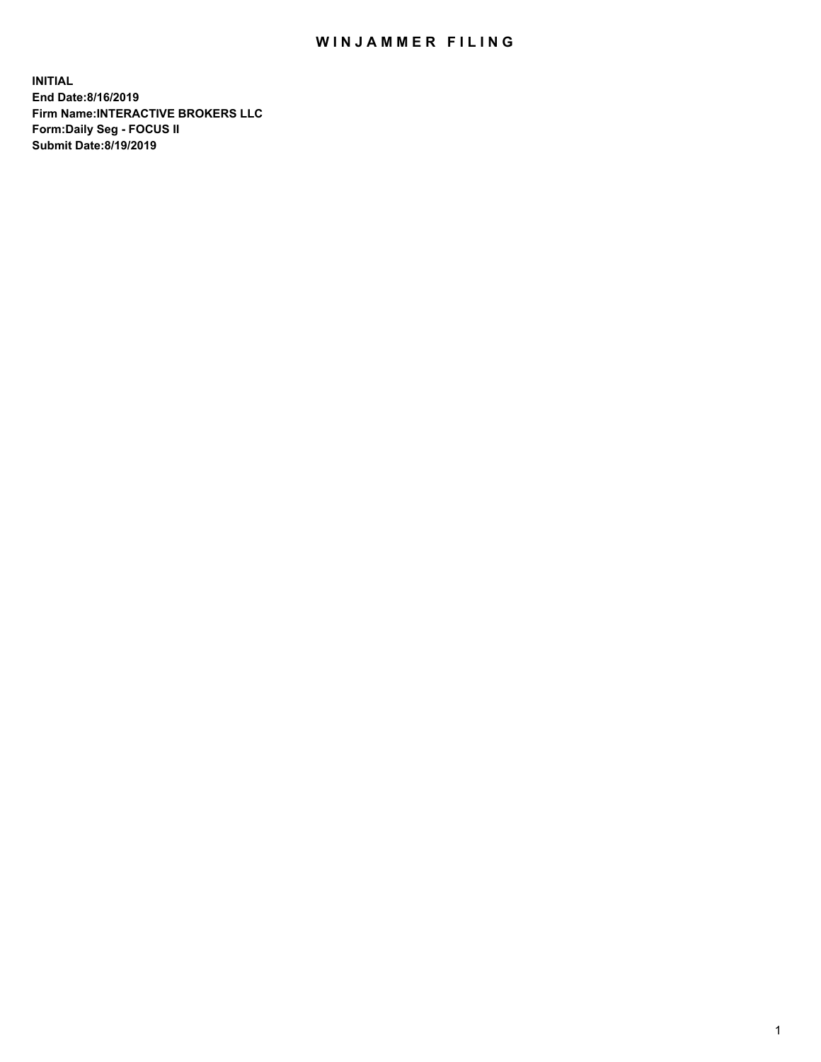## WIN JAMMER FILING

**INITIAL End Date:8/16/2019 Firm Name:INTERACTIVE BROKERS LLC Form:Daily Seg - FOCUS II Submit Date:8/19/2019**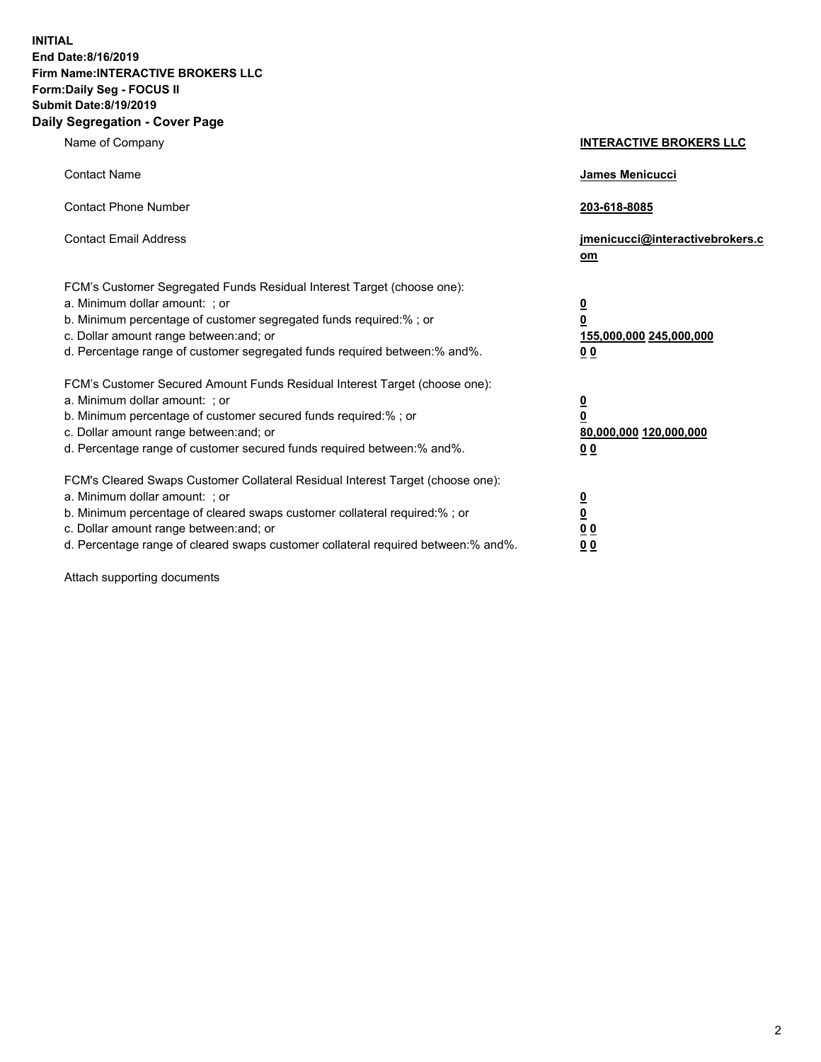**INITIAL End Date:8/16/2019 Firm Name:INTERACTIVE BROKERS LLC Form:Daily Seg - FOCUS II Submit Date:8/19/2019 Daily Segregation - Cover Page**

| Name of Company                                                                                                                                                                                                                                                                                                                | <b>INTERACTIVE BROKERS LLC</b>                                                                  |
|--------------------------------------------------------------------------------------------------------------------------------------------------------------------------------------------------------------------------------------------------------------------------------------------------------------------------------|-------------------------------------------------------------------------------------------------|
| <b>Contact Name</b>                                                                                                                                                                                                                                                                                                            | James Menicucci                                                                                 |
| <b>Contact Phone Number</b>                                                                                                                                                                                                                                                                                                    | 203-618-8085                                                                                    |
| <b>Contact Email Address</b>                                                                                                                                                                                                                                                                                                   | jmenicucci@interactivebrokers.c<br>om                                                           |
| FCM's Customer Segregated Funds Residual Interest Target (choose one):<br>a. Minimum dollar amount: ; or<br>b. Minimum percentage of customer segregated funds required:% ; or<br>c. Dollar amount range between: and; or<br>d. Percentage range of customer segregated funds required between:% and%.                         | $\overline{\mathbf{0}}$<br>$\overline{\mathbf{0}}$<br>155,000,000 245,000,000<br>0 <sub>0</sub> |
| FCM's Customer Secured Amount Funds Residual Interest Target (choose one):<br>a. Minimum dollar amount: ; or<br>b. Minimum percentage of customer secured funds required:% ; or<br>c. Dollar amount range between: and; or<br>d. Percentage range of customer secured funds required between:% and%.                           | $\overline{\mathbf{0}}$<br>0<br>80,000,000 120,000,000<br>0 <sub>0</sub>                        |
| FCM's Cleared Swaps Customer Collateral Residual Interest Target (choose one):<br>a. Minimum dollar amount: ; or<br>b. Minimum percentage of cleared swaps customer collateral required:% ; or<br>c. Dollar amount range between: and; or<br>d. Percentage range of cleared swaps customer collateral required between:% and%. | $\overline{\mathbf{0}}$<br><u>0</u><br>$\underline{0}$ $\underline{0}$<br>00                    |

Attach supporting documents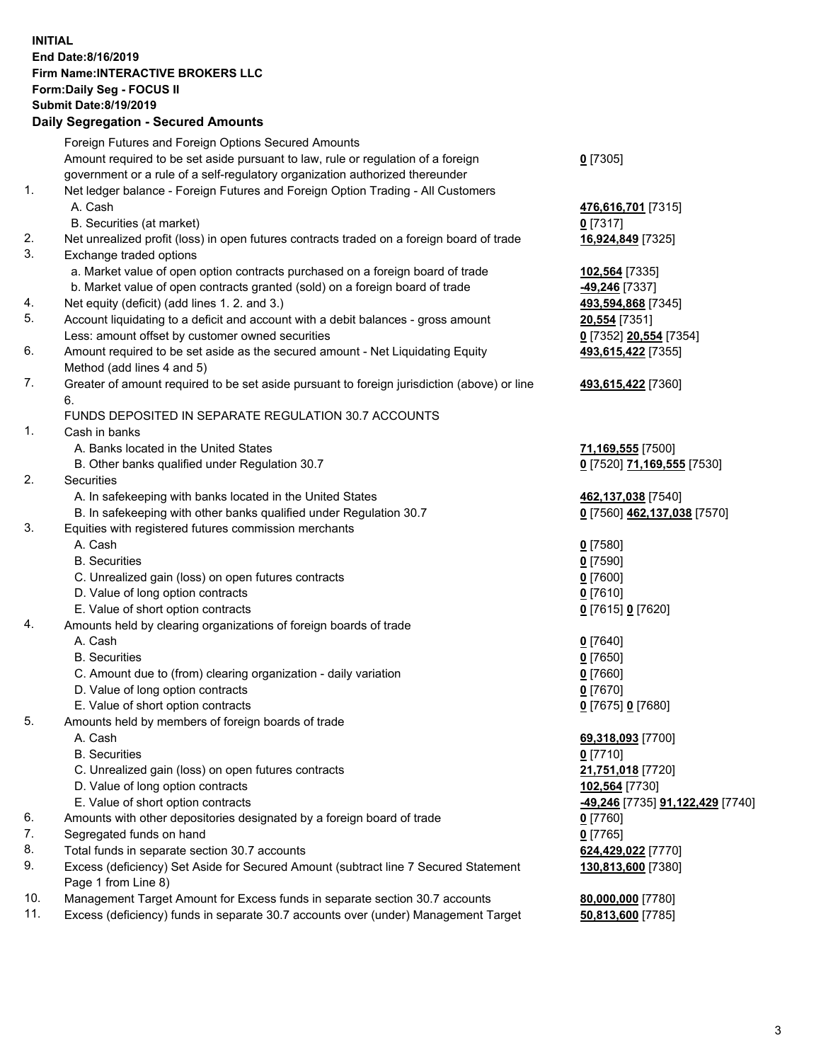## **INITIAL End Date:8/16/2019 Firm Name:INTERACTIVE BROKERS LLC Form:Daily Seg - FOCUS II Submit Date:8/19/2019 Daily Segregation - Secured Amounts**

|                | Dany Segregation - Secured Announts                                                                                             |                                                   |
|----------------|---------------------------------------------------------------------------------------------------------------------------------|---------------------------------------------------|
|                | Foreign Futures and Foreign Options Secured Amounts                                                                             |                                                   |
|                | Amount required to be set aside pursuant to law, rule or regulation of a foreign                                                | $0$ [7305]                                        |
|                | government or a rule of a self-regulatory organization authorized thereunder                                                    |                                                   |
| $\mathbf{1}$ . | Net ledger balance - Foreign Futures and Foreign Option Trading - All Customers                                                 |                                                   |
|                | A. Cash                                                                                                                         | 476,616,701 [7315]                                |
|                | B. Securities (at market)                                                                                                       | $0$ [7317]                                        |
| 2.             | Net unrealized profit (loss) in open futures contracts traded on a foreign board of trade                                       | 16,924,849 [7325]                                 |
| 3.             | Exchange traded options                                                                                                         |                                                   |
|                | a. Market value of open option contracts purchased on a foreign board of trade                                                  | 102,564 [7335]                                    |
|                | b. Market value of open contracts granted (sold) on a foreign board of trade                                                    | -49,246 [7337]                                    |
| 4.             | Net equity (deficit) (add lines 1. 2. and 3.)                                                                                   | 493,594,868 [7345]                                |
| 5.             | Account liquidating to a deficit and account with a debit balances - gross amount                                               | 20,554 [7351]                                     |
|                | Less: amount offset by customer owned securities                                                                                | 0 [7352] 20,554 [7354]                            |
| 6.             | Amount required to be set aside as the secured amount - Net Liquidating Equity                                                  | 493,615,422 [7355]                                |
|                | Method (add lines 4 and 5)                                                                                                      |                                                   |
| 7.             | Greater of amount required to be set aside pursuant to foreign jurisdiction (above) or line                                     | 493,615,422 [7360]                                |
|                | 6.                                                                                                                              |                                                   |
|                | FUNDS DEPOSITED IN SEPARATE REGULATION 30.7 ACCOUNTS                                                                            |                                                   |
| 1.             | Cash in banks                                                                                                                   |                                                   |
|                | A. Banks located in the United States                                                                                           | 71,169,555 [7500]                                 |
| 2.             | B. Other banks qualified under Regulation 30.7                                                                                  | 0 [7520] 71,169,555 [7530]                        |
|                | <b>Securities</b>                                                                                                               |                                                   |
|                | A. In safekeeping with banks located in the United States<br>B. In safekeeping with other banks qualified under Regulation 30.7 | 462,137,038 [7540]<br>0 [7560] 462,137,038 [7570] |
| 3.             | Equities with registered futures commission merchants                                                                           |                                                   |
|                | A. Cash                                                                                                                         | $0$ [7580]                                        |
|                | <b>B.</b> Securities                                                                                                            | $0$ [7590]                                        |
|                | C. Unrealized gain (loss) on open futures contracts                                                                             | $0$ [7600]                                        |
|                | D. Value of long option contracts                                                                                               | $0$ [7610]                                        |
|                | E. Value of short option contracts                                                                                              | 0 [7615] 0 [7620]                                 |
| 4.             | Amounts held by clearing organizations of foreign boards of trade                                                               |                                                   |
|                | A. Cash                                                                                                                         | $0$ [7640]                                        |
|                | <b>B.</b> Securities                                                                                                            | $0$ [7650]                                        |
|                | C. Amount due to (from) clearing organization - daily variation                                                                 | $0$ [7660]                                        |
|                | D. Value of long option contracts                                                                                               | $0$ [7670]                                        |
|                | E. Value of short option contracts                                                                                              | 0 [7675] 0 [7680]                                 |
| 5.             | Amounts held by members of foreign boards of trade                                                                              |                                                   |
|                | A. Cash                                                                                                                         | 69,318,093 [7700]                                 |
|                | <b>B.</b> Securities                                                                                                            | $0$ [7710]                                        |
|                | C. Unrealized gain (loss) on open futures contracts                                                                             | 21,751,018 [7720]                                 |
|                | D. Value of long option contracts                                                                                               | 102,564 [7730]                                    |
|                | E. Value of short option contracts                                                                                              | <u>-49,246</u> [7735] <u>91,122,429</u> [7740]    |
| 6.             | Amounts with other depositories designated by a foreign board of trade                                                          | 0 [7760]                                          |
| 7.             | Segregated funds on hand                                                                                                        | $0$ [7765]                                        |
| 8.             | Total funds in separate section 30.7 accounts                                                                                   | 624,429,022 [7770]                                |
| 9.             | Excess (deficiency) Set Aside for Secured Amount (subtract line 7 Secured Statement<br>Page 1 from Line 8)                      | 130,813,600 [7380]                                |
| 10.            | Management Target Amount for Excess funds in separate section 30.7 accounts                                                     | 80,000,000 [7780]                                 |
| 11.            | Excess (deficiency) funds in separate 30.7 accounts over (under) Management Target                                              | 50,813,600 [7785]                                 |
|                |                                                                                                                                 |                                                   |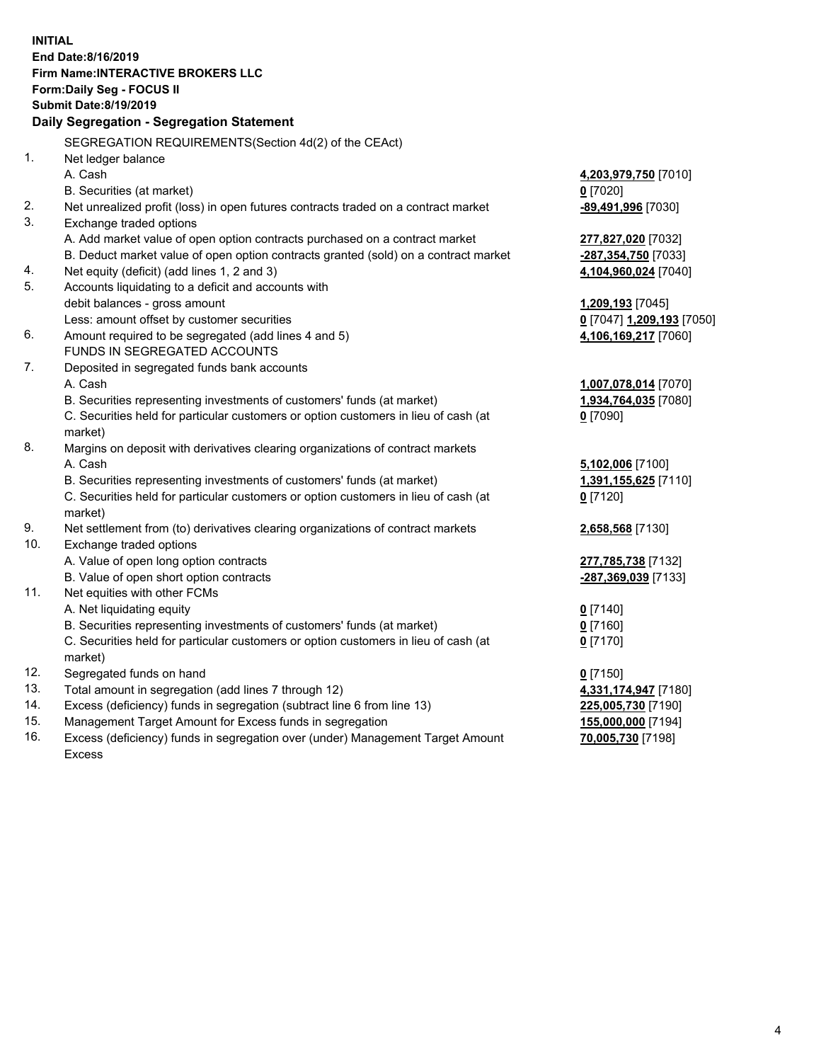**INITIAL End Date:8/16/2019 Firm Name:INTERACTIVE BROKERS LLC Form:Daily Seg - FOCUS II Submit Date:8/19/2019 Daily Segregation - Segregation Statement** SEGREGATION REQUIREMENTS(Section 4d(2) of the CEAct) 1. Net ledger balance A. Cash **4,203,979,750** [7010] B. Securities (at market) **0** [7020] 2. Net unrealized profit (loss) in open futures contracts traded on a contract market **-89,491,996** [7030] 3. Exchange traded options A. Add market value of open option contracts purchased on a contract market **277,827,020** [7032] B. Deduct market value of open option contracts granted (sold) on a contract market **-287,354,750** [7033] 4. Net equity (deficit) (add lines 1, 2 and 3) **4,104,960,024** [7040] 5. Accounts liquidating to a deficit and accounts with debit balances - gross amount **1,209,193** [7045] Less: amount offset by customer securities **0** [7047] **1,209,193** [7050] 6. Amount required to be segregated (add lines 4 and 5) **4,106,169,217** [7060] FUNDS IN SEGREGATED ACCOUNTS 7. Deposited in segregated funds bank accounts A. Cash **1,007,078,014** [7070] B. Securities representing investments of customers' funds (at market) **1,934,764,035** [7080] C. Securities held for particular customers or option customers in lieu of cash (at market) **0** [7090] 8. Margins on deposit with derivatives clearing organizations of contract markets A. Cash **5,102,006** [7100] B. Securities representing investments of customers' funds (at market) **1,391,155,625** [7110] C. Securities held for particular customers or option customers in lieu of cash (at market) **0** [7120] 9. Net settlement from (to) derivatives clearing organizations of contract markets **2,658,568** [7130] 10. Exchange traded options A. Value of open long option contracts **277,785,738** [7132] B. Value of open short option contracts **-287,369,039** [7133] 11. Net equities with other FCMs A. Net liquidating equity **0** [7140] B. Securities representing investments of customers' funds (at market) **0** [7160] C. Securities held for particular customers or option customers in lieu of cash (at market) **0** [7170] 12. Segregated funds on hand **0** [7150] 13. Total amount in segregation (add lines 7 through 12) **4,331,174,947** [7180] 14. Excess (deficiency) funds in segregation (subtract line 6 from line 13) **225,005,730** [7190] 15. Management Target Amount for Excess funds in segregation **155,000,000** [7194]

16. Excess (deficiency) funds in segregation over (under) Management Target Amount Excess

**70,005,730** [7198]